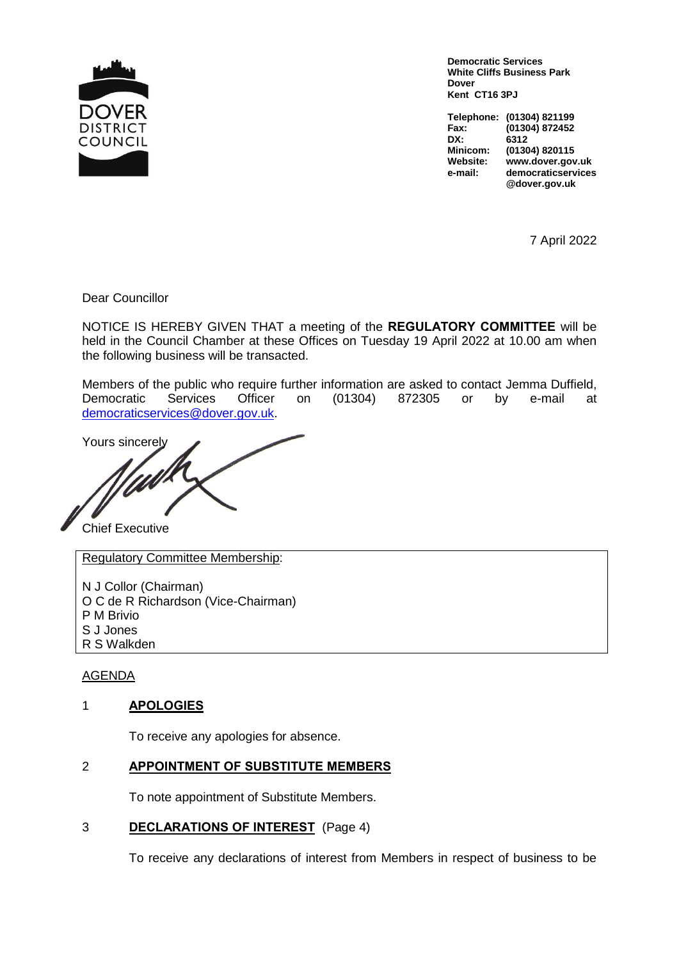

**Democratic Services White Cliffs Business Park Dover Kent CT16 3PJ**

**Telephone: (01304) 821199 Fax: (01304) 872452 DX: 6312 Minicom: (01304) 820115 Website: www.dover.gov.uk e-mail: democraticservices @dover.gov.uk**

7 April 2022

Dear Councillor

NOTICE IS HEREBY GIVEN THAT a meeting of the **REGULATORY COMMITTEE** will be held in the Council Chamber at these Offices on Tuesday 19 April 2022 at 10.00 am when the following business will be transacted.

Members of the public who require further information are asked to contact Jemma Duffield, Democratic Services Officer on (01304) 872305 or by e-mail at democraticservices@dover.gov.uk.

Yours sincerely

Chief Executive

Regulatory Committee Membership:

N J Collor (Chairman) O C de R Richardson (Vice-Chairman) P M Brivio S J Jones R S Walkden

## AGENDA

## 1 **APOLOGIES**

To receive any apologies for absence.

# 2 **APPOINTMENT OF SUBSTITUTE MEMBERS**

To note appointment of Substitute Members.

## 3 **DECLARATIONS OF INTEREST** (Page 4)

To receive any declarations of interest from Members in respect of business to be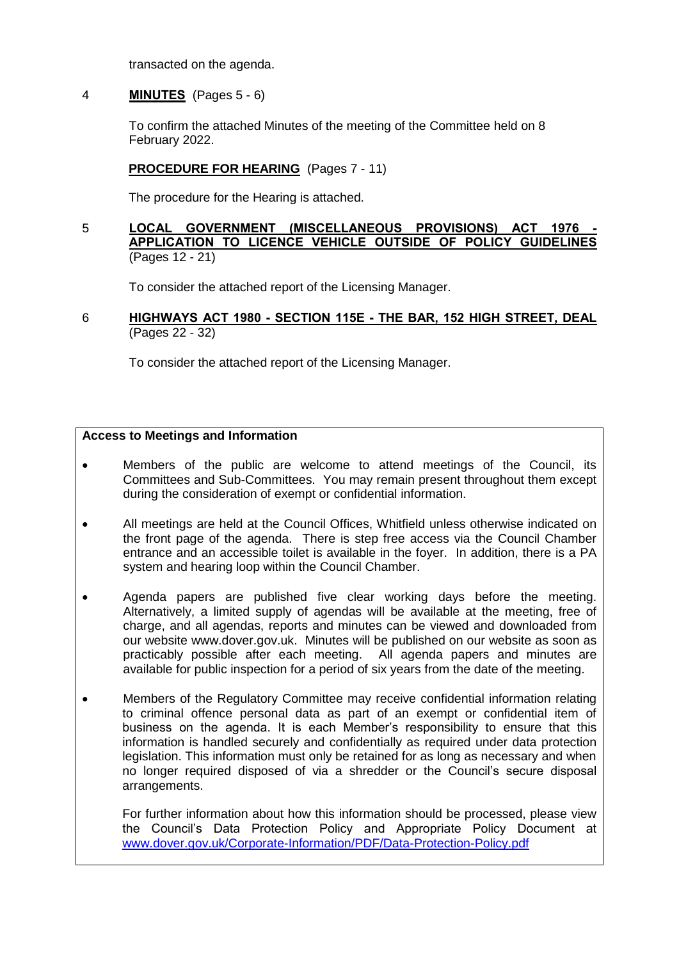transacted on the agenda.

#### 4 **MINUTES** (Pages 5 - 6)

To confirm the attached Minutes of the meeting of the Committee held on 8 February 2022.

# **PROCEDURE FOR HEARING** (Pages 7 - 11)

The procedure for the Hearing is attached.

#### 5 **LOCAL GOVERNMENT (MISCELLANEOUS PROVISIONS) ACT 1976 - APPLICATION TO LICENCE VEHICLE OUTSIDE OF POLICY GUIDELINES**  (Pages 12 - 21)

To consider the attached report of the Licensing Manager.

6 **HIGHWAYS ACT 1980 - SECTION 115E - THE BAR, 152 HIGH STREET, DEAL**  (Pages 22 - 32)

To consider the attached report of the Licensing Manager.

### **Access to Meetings and Information**

- Members of the public are welcome to attend meetings of the Council, its Committees and Sub-Committees. You may remain present throughout them except during the consideration of exempt or confidential information.
- All meetings are held at the Council Offices, Whitfield unless otherwise indicated on the front page of the agenda. There is step free access via the Council Chamber entrance and an accessible toilet is available in the foyer. In addition, there is a PA system and hearing loop within the Council Chamber.
- Agenda papers are published five clear working days before the meeting. Alternatively, a limited supply of agendas will be available at the meeting, free of charge, and all agendas, reports and minutes can be viewed and downloaded from our website www.dover.gov.uk. Minutes will be published on our website as soon as practicably possible after each meeting. All agenda papers and minutes are available for public inspection for a period of six years from the date of the meeting.
- Members of the Regulatory Committee may receive confidential information relating to criminal offence personal data as part of an exempt or confidential item of business on the agenda. It is each Member's responsibility to ensure that this information is handled securely and confidentially as required under data protection legislation. This information must only be retained for as long as necessary and when no longer required disposed of via a shredder or the Council's secure disposal arrangements.

For further information about how this information should be processed, please view the Council's Data Protection Policy and Appropriate Policy Document at [www.dover.gov.uk/Corporate-Information/PDF/Data-Protection-Policy.pdf](http://www.dover.gov.uk/Corporate-Information/PDF/Data-Protection-Policy.pdf)